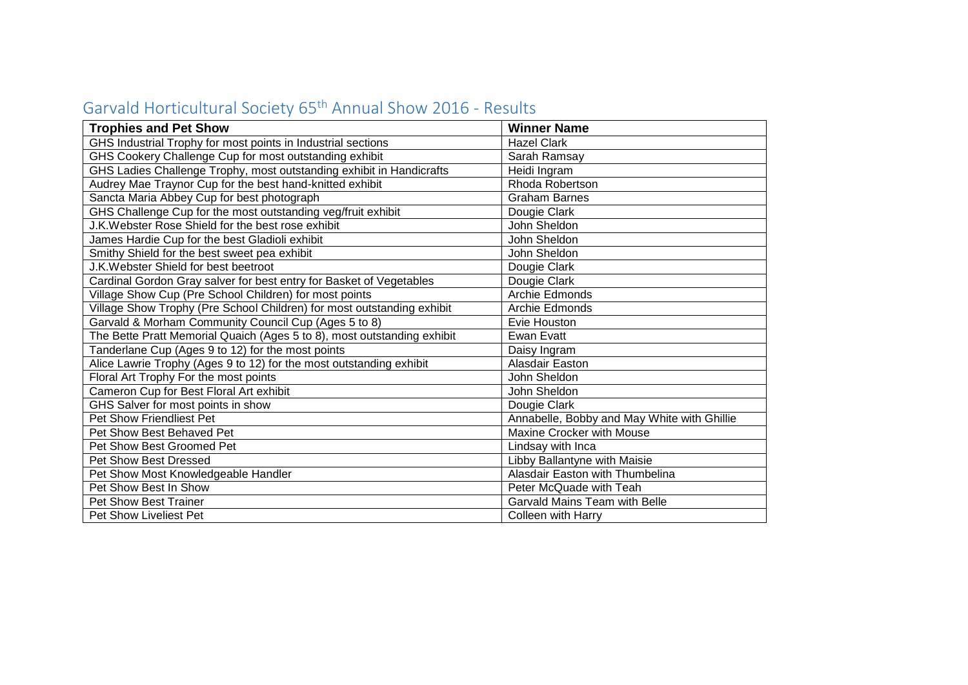| <b>Trophies and Pet Show</b>                                            | <b>Winner Name</b>                          |
|-------------------------------------------------------------------------|---------------------------------------------|
| GHS Industrial Trophy for most points in Industrial sections            | <b>Hazel Clark</b>                          |
| GHS Cookery Challenge Cup for most outstanding exhibit                  | Sarah Ramsay                                |
| GHS Ladies Challenge Trophy, most outstanding exhibit in Handicrafts    | Heidi Ingram                                |
| Audrey Mae Traynor Cup for the best hand-knitted exhibit                | Rhoda Robertson                             |
| Sancta Maria Abbey Cup for best photograph                              | <b>Graham Barnes</b>                        |
| GHS Challenge Cup for the most outstanding veg/fruit exhibit            | Dougie Clark                                |
| J.K. Webster Rose Shield for the best rose exhibit                      | John Sheldon                                |
| James Hardie Cup for the best Gladioli exhibit                          | John Sheldon                                |
| Smithy Shield for the best sweet pea exhibit                            | John Sheldon                                |
| J.K. Webster Shield for best beetroot                                   | Dougie Clark                                |
| Cardinal Gordon Gray salver for best entry for Basket of Vegetables     | Dougie Clark                                |
| Village Show Cup (Pre School Children) for most points                  | Archie Edmonds                              |
| Village Show Trophy (Pre School Children) for most outstanding exhibit  | <b>Archie Edmonds</b>                       |
| Garvald & Morham Community Council Cup (Ages 5 to 8)                    | Evie Houston                                |
| The Bette Pratt Memorial Quaich (Ages 5 to 8), most outstanding exhibit | Ewan Evatt                                  |
| Tanderlane Cup (Ages 9 to 12) for the most points                       | Daisy Ingram                                |
| Alice Lawrie Trophy (Ages 9 to 12) for the most outstanding exhibit     | Alasdair Easton                             |
| Floral Art Trophy For the most points                                   | John Sheldon                                |
| Cameron Cup for Best Floral Art exhibit                                 | John Sheldon                                |
| GHS Salver for most points in show                                      | Dougie Clark                                |
| Pet Show Friendliest Pet                                                | Annabelle, Bobby and May White with Ghillie |
| Pet Show Best Behaved Pet                                               | Maxine Crocker with Mouse                   |
| Pet Show Best Groomed Pet                                               | Lindsay with Inca                           |
| <b>Pet Show Best Dressed</b>                                            | Libby Ballantyne with Maisie                |
| Pet Show Most Knowledgeable Handler                                     | Alasdair Easton with Thumbelina             |
| Pet Show Best In Show                                                   | Peter McQuade with Teah                     |
| <b>Pet Show Best Trainer</b>                                            | Garvald Mains Team with Belle               |
| Pet Show Liveliest Pet                                                  | <b>Colleen with Harry</b>                   |

## Garvald Horticultural Society 65th Annual Show 2016 - Results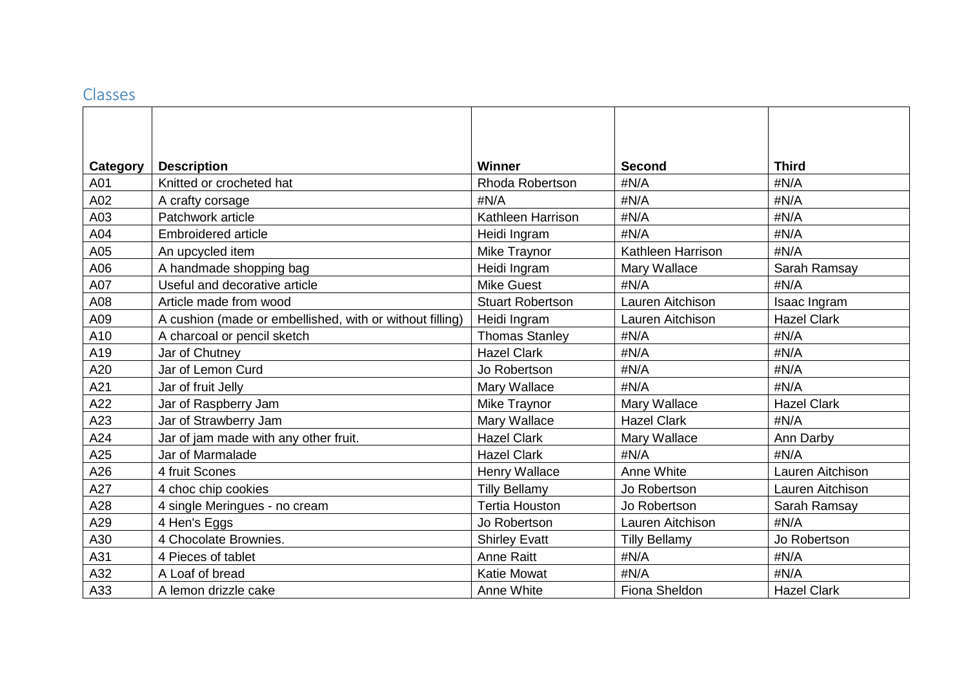## Classes

| Category | <b>Description</b>                                       | <b>Winner</b>           | Second               | <b>Third</b>       |
|----------|----------------------------------------------------------|-------------------------|----------------------|--------------------|
| A01      | Knitted or crocheted hat                                 | <b>Rhoda Robertson</b>  | #N/A                 | #N/A               |
| A02      | A crafty corsage                                         | #N/A                    | #N/A                 | #N/A               |
| A03      | Patchwork article                                        | Kathleen Harrison       | #N/A                 | #N/A               |
| A04      | <b>Embroidered article</b>                               |                         | #N/A                 | #N/A               |
| A05      |                                                          | Heidi Ingram            | Kathleen Harrison    | #N/A               |
|          | An upcycled item                                         | Mike Traynor            |                      |                    |
| A06      | A handmade shopping bag                                  | Heidi Ingram            | Mary Wallace         | Sarah Ramsay       |
| A07      | Useful and decorative article                            | <b>Mike Guest</b>       | #N/A                 | #N/A               |
| A08      | Article made from wood                                   | <b>Stuart Robertson</b> | Lauren Aitchison     | Isaac Ingram       |
| A09      | A cushion (made or embellished, with or without filling) | Heidi Ingram            | Lauren Aitchison     | <b>Hazel Clark</b> |
| A10      | A charcoal or pencil sketch                              | <b>Thomas Stanley</b>   | #N/A                 | #N/A               |
| A19      | Jar of Chutney                                           | <b>Hazel Clark</b>      | #N/A                 | #N/A               |
| A20      | Jar of Lemon Curd                                        | Jo Robertson            | #N/A                 | #N/A               |
| A21      | Jar of fruit Jelly                                       | Mary Wallace            | #N/A                 | #N/A               |
| A22      | Jar of Raspberry Jam                                     | Mike Traynor            | Mary Wallace         | <b>Hazel Clark</b> |
| A23      | Jar of Strawberry Jam                                    | Mary Wallace            | <b>Hazel Clark</b>   | #N/A               |
| A24      | Jar of jam made with any other fruit.                    | <b>Hazel Clark</b>      | Mary Wallace         | Ann Darby          |
| A25      | Jar of Marmalade                                         | <b>Hazel Clark</b>      | #N/A                 | #N/A               |
| A26      | 4 fruit Scones                                           | Henry Wallace           | Anne White           | Lauren Aitchison   |
| A27      | 4 choc chip cookies                                      | <b>Tilly Bellamy</b>    | Jo Robertson         | Lauren Aitchison   |
| A28      | 4 single Meringues - no cream                            | <b>Tertia Houston</b>   | Jo Robertson         | Sarah Ramsay       |
| A29      | 4 Hen's Eggs                                             | Jo Robertson            | Lauren Aitchison     | #N/A               |
| A30      | 4 Chocolate Brownies.                                    | <b>Shirley Evatt</b>    | <b>Tilly Bellamy</b> | Jo Robertson       |
| A31      | 4 Pieces of tablet                                       | <b>Anne Raitt</b>       | #N/A                 | #N/A               |
| A32      | A Loaf of bread                                          | <b>Katie Mowat</b>      | #N/A                 | #N/A               |
| A33      | A lemon drizzle cake                                     | Anne White              | Fiona Sheldon        | <b>Hazel Clark</b> |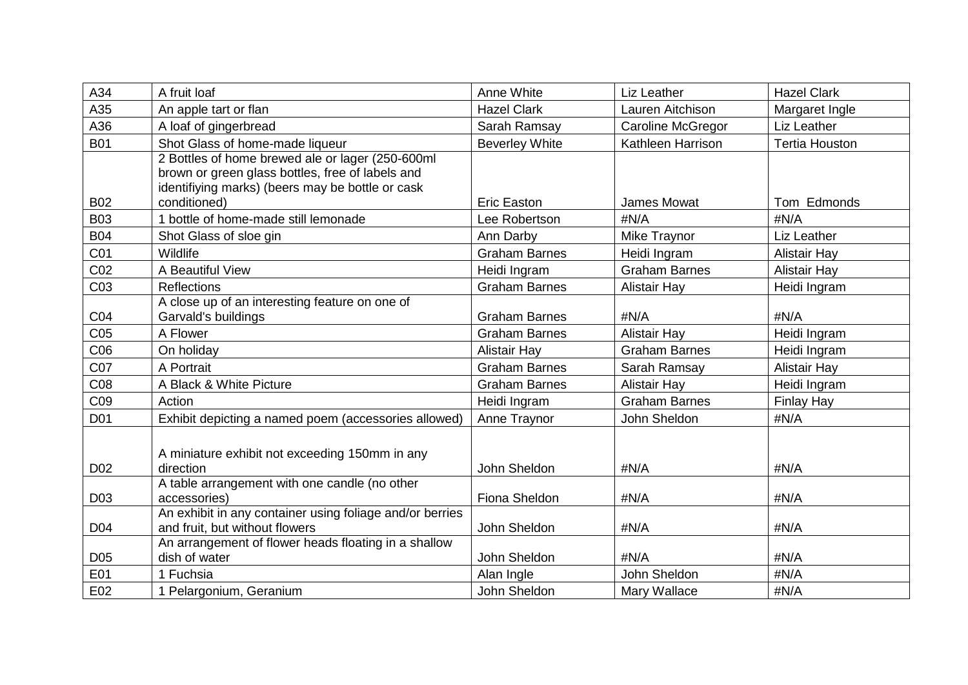| A34             | A fruit loaf                                                     | Anne White            | Liz Leather              | <b>Hazel Clark</b>    |
|-----------------|------------------------------------------------------------------|-----------------------|--------------------------|-----------------------|
| A35             | An apple tart or flan                                            | <b>Hazel Clark</b>    | Lauren Aitchison         | Margaret Ingle        |
| A36             | A loaf of gingerbread                                            | Sarah Ramsay          | <b>Caroline McGregor</b> | Liz Leather           |
| <b>B01</b>      | Shot Glass of home-made liqueur                                  | <b>Beverley White</b> | Kathleen Harrison        | <b>Tertia Houston</b> |
|                 | 2 Bottles of home brewed ale or lager (250-600ml                 |                       |                          |                       |
|                 | brown or green glass bottles, free of labels and                 |                       |                          |                       |
| <b>B02</b>      | identifiying marks) (beers may be bottle or cask<br>conditioned) | <b>Eric Easton</b>    | James Mowat              | Tom Edmonds           |
|                 |                                                                  |                       |                          |                       |
| <b>B03</b>      | 1 bottle of home-made still lemonade                             | Lee Robertson         | #N/A                     | #N/A                  |
| <b>B04</b>      | Shot Glass of sloe gin                                           | Ann Darby             | Mike Traynor             | Liz Leather           |
| C01             | Wildlife                                                         | <b>Graham Barnes</b>  | Heidi Ingram             | <b>Alistair Hay</b>   |
| C <sub>02</sub> | A Beautiful View                                                 | Heidi Ingram          | <b>Graham Barnes</b>     | Alistair Hay          |
| C03             | <b>Reflections</b>                                               | <b>Graham Barnes</b>  | <b>Alistair Hay</b>      | Heidi Ingram          |
|                 | A close up of an interesting feature on one of                   |                       |                          |                       |
| CO <sub>4</sub> | Garvald's buildings                                              | <b>Graham Barnes</b>  | #N/A                     | #N/A                  |
| CO <sub>5</sub> | A Flower                                                         | <b>Graham Barnes</b>  | <b>Alistair Hay</b>      | Heidi Ingram          |
| CO6             | On holiday                                                       | <b>Alistair Hay</b>   | <b>Graham Barnes</b>     | Heidi Ingram          |
| C07             | A Portrait                                                       | <b>Graham Barnes</b>  | Sarah Ramsay             | <b>Alistair Hay</b>   |
| C08             | A Black & White Picture                                          | <b>Graham Barnes</b>  | <b>Alistair Hay</b>      | Heidi Ingram          |
| C <sub>09</sub> | Action                                                           | Heidi Ingram          | <b>Graham Barnes</b>     | Finlay Hay            |
| D01             | Exhibit depicting a named poem (accessories allowed)             | Anne Traynor          | John Sheldon             | #N/A                  |
|                 |                                                                  |                       |                          |                       |
|                 | A miniature exhibit not exceeding 150mm in any                   |                       |                          |                       |
| D <sub>02</sub> | direction                                                        | John Sheldon          | #N/A                     | #N/A                  |
|                 | A table arrangement with one candle (no other                    |                       |                          |                       |
| D <sub>03</sub> | accessories)                                                     | Fiona Sheldon         | #N/A                     | #N/A                  |
|                 | An exhibit in any container using foliage and/or berries         |                       |                          |                       |
| D <sub>04</sub> | and fruit, but without flowers                                   | John Sheldon          | #N/A                     | #N/A                  |
|                 | An arrangement of flower heads floating in a shallow             |                       |                          |                       |
| D <sub>05</sub> | dish of water                                                    | John Sheldon          | #N/A                     | #N/A                  |
| E01             | 1 Fuchsia                                                        | Alan Ingle            | John Sheldon             | #N/A                  |
| E02             | 1 Pelargonium, Geranium                                          | John Sheldon          | Mary Wallace             | #N/A                  |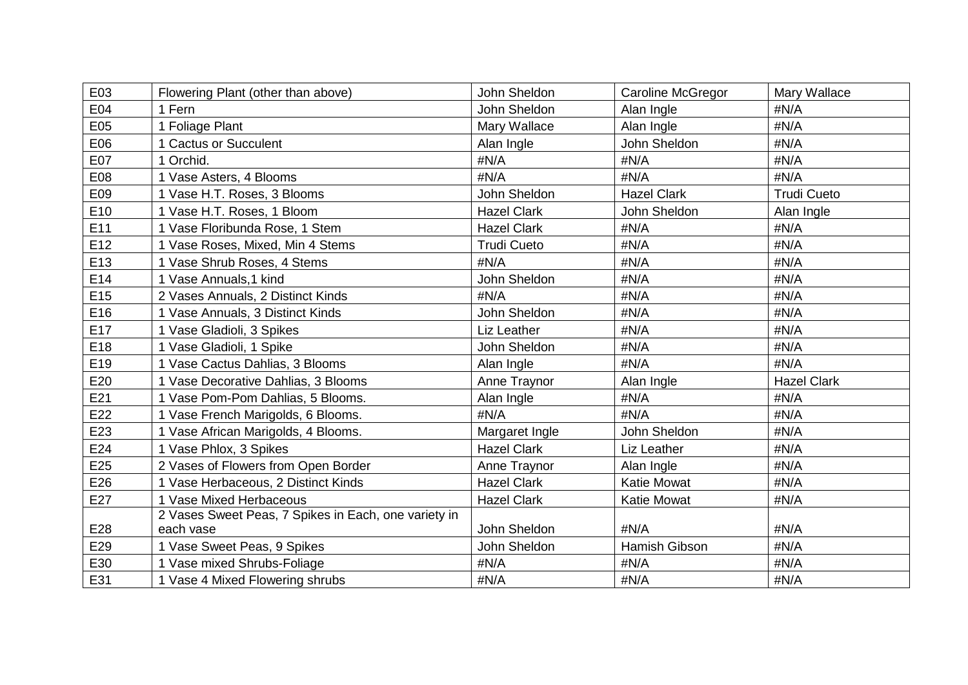| E03             | Flowering Plant (other than above)                   | John Sheldon       | Caroline McGregor  | Mary Wallace       |
|-----------------|------------------------------------------------------|--------------------|--------------------|--------------------|
|                 |                                                      |                    |                    |                    |
| E04             | 1 Fern                                               | John Sheldon       | Alan Ingle         | #N/A               |
| E05             | 1 Foliage Plant                                      | Mary Wallace       | Alan Ingle         | #N/A               |
| E06             | 1 Cactus or Succulent                                | Alan Ingle         | John Sheldon       | #N/A               |
| E07             | 1 Orchid.                                            | #N/A               | #N/A               | #N/A               |
| E08             | 1 Vase Asters, 4 Blooms                              | #N/A               | #N/A               | #N/A               |
| E09             | 1 Vase H.T. Roses, 3 Blooms                          | John Sheldon       | <b>Hazel Clark</b> | <b>Trudi Cueto</b> |
| E10             | 1 Vase H.T. Roses, 1 Bloom                           | <b>Hazel Clark</b> | John Sheldon       | Alan Ingle         |
| E11             | 1 Vase Floribunda Rose, 1 Stem                       | <b>Hazel Clark</b> | #N/A               | #N/A               |
| E12             | 1 Vase Roses, Mixed, Min 4 Stems                     | <b>Trudi Cueto</b> | #N/A               | #N/A               |
| E <sub>13</sub> | 1 Vase Shrub Roses, 4 Stems                          | #N/A               | #N/A               | #N/A               |
| E14             | 1 Vase Annuals, 1 kind                               | John Sheldon       | #N/A               | #N/A               |
| E15             | 2 Vases Annuals, 2 Distinct Kinds                    | #N/A               | #N/A               | #N/A               |
| E16             | 1 Vase Annuals, 3 Distinct Kinds                     | John Sheldon       | #N/A               | #N/A               |
| E17             | 1 Vase Gladioli, 3 Spikes                            | Liz Leather        | #N/A               | #N/A               |
| E18             | 1 Vase Gladioli, 1 Spike                             | John Sheldon       | #N/A               | #N/A               |
| E19             | 1 Vase Cactus Dahlias, 3 Blooms                      | Alan Ingle         | #N/A               | #N/A               |
| E20             | 1 Vase Decorative Dahlias, 3 Blooms                  | Anne Traynor       | Alan Ingle         | <b>Hazel Clark</b> |
| E21             | 1 Vase Pom-Pom Dahlias, 5 Blooms.                    | Alan Ingle         | #N/A               | #N/A               |
| E22             | 1 Vase French Marigolds, 6 Blooms.                   | #N/A               | #N/A               | #N/A               |
| E23             | 1 Vase African Marigolds, 4 Blooms.                  | Margaret Ingle     | John Sheldon       | #N/A               |
| E24             | Vase Phlox, 3 Spikes                                 | <b>Hazel Clark</b> | Liz Leather        | #N/A               |
| E25             | 2 Vases of Flowers from Open Border                  | Anne Traynor       | Alan Ingle         | #N/A               |
| E26             | 1 Vase Herbaceous, 2 Distinct Kinds                  | <b>Hazel Clark</b> | <b>Katie Mowat</b> | #N/A               |
| E27             | 1 Vase Mixed Herbaceous                              | <b>Hazel Clark</b> | <b>Katie Mowat</b> | #N/A               |
|                 | 2 Vases Sweet Peas, 7 Spikes in Each, one variety in |                    |                    |                    |
| E28             | each vase                                            | John Sheldon       | #N/A               | #N/A               |
| E29             | 1 Vase Sweet Peas, 9 Spikes                          | John Sheldon       | Hamish Gibson      | #N/A               |
| E30             | 1 Vase mixed Shrubs-Foliage                          | #N/A               | #N/A               | #N/A               |
| E31             | 1 Vase 4 Mixed Flowering shrubs                      | #N/A               | #N/A               | #N/A               |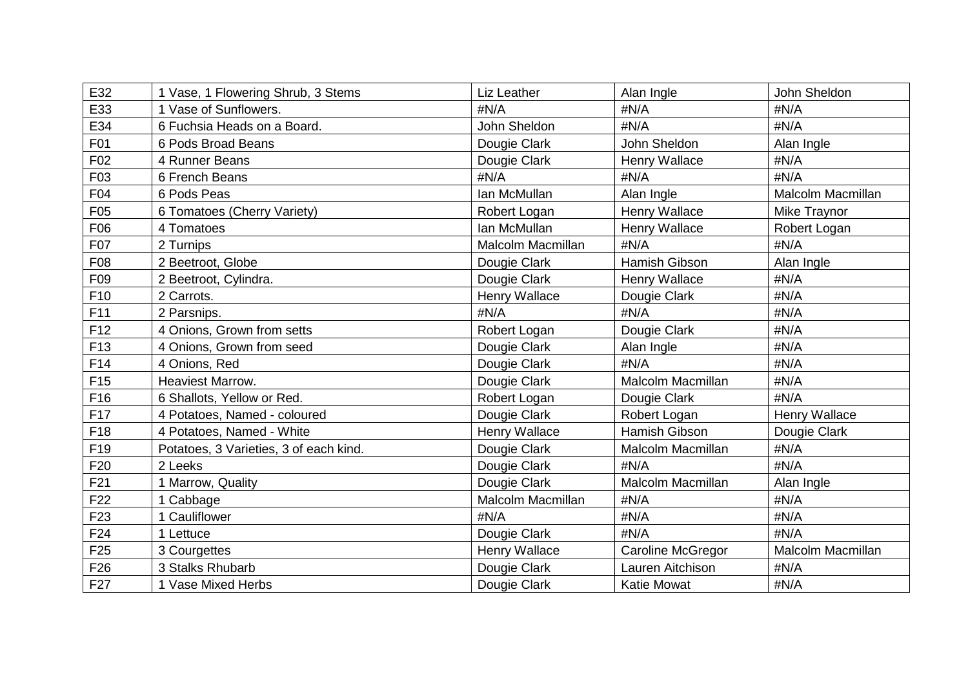| E32             | 1 Vase, 1 Flowering Shrub, 3 Stems     | Liz Leather              | Alan Ingle               | John Sheldon             |
|-----------------|----------------------------------------|--------------------------|--------------------------|--------------------------|
| E33             | 1 Vase of Sunflowers.                  | #N/A                     | #N/A                     | #N/A                     |
| E34             | 6 Fuchsia Heads on a Board.            | John Sheldon             | #N/A                     | #N/A                     |
| F01             | 6 Pods Broad Beans                     | Dougie Clark             | John Sheldon             | Alan Ingle               |
| F <sub>02</sub> | 4 Runner Beans                         | Dougie Clark             | Henry Wallace            | #N/A                     |
| F03             | 6 French Beans                         | #N/A                     | #N/A                     | #N/A                     |
| F04             | 6 Pods Peas                            | Ian McMullan             | Alan Ingle               | <b>Malcolm Macmillan</b> |
| F <sub>05</sub> | 6 Tomatoes (Cherry Variety)            | Robert Logan             | <b>Henry Wallace</b>     | Mike Traynor             |
| F06             | 4 Tomatoes                             | Ian McMullan             | Henry Wallace            | Robert Logan             |
| F07             | 2 Turnips                              | <b>Malcolm Macmillan</b> | #N/A                     | #N/A                     |
| F08             | 2 Beetroot, Globe                      | Dougie Clark             | Hamish Gibson            | Alan Ingle               |
| F <sub>09</sub> | 2 Beetroot, Cylindra.                  | Dougie Clark             | Henry Wallace            | #N/A                     |
| F10             | 2 Carrots.                             | Henry Wallace            | Dougie Clark             | #N/A                     |
| F11             | 2 Parsnips.                            | #N/A                     | #N/A                     | #N/A                     |
| F12             | 4 Onions, Grown from setts             | Robert Logan             | Dougie Clark             | #N/A                     |
| F13             | 4 Onions, Grown from seed              | Dougie Clark             | Alan Ingle               | #N/A                     |
| F14             | 4 Onions, Red                          | Dougie Clark             | #N/A                     | #N/A                     |
| F <sub>15</sub> | Heaviest Marrow.                       | Dougie Clark             | Malcolm Macmillan        | #N/A                     |
| F16             | 6 Shallots, Yellow or Red.             | Robert Logan             | Dougie Clark             | #N/A                     |
| F17             | 4 Potatoes, Named - coloured           | Dougie Clark             | Robert Logan             | Henry Wallace            |
| F18             | 4 Potatoes, Named - White              | <b>Henry Wallace</b>     | <b>Hamish Gibson</b>     | Dougie Clark             |
| F <sub>19</sub> | Potatoes, 3 Varieties, 3 of each kind. | Dougie Clark             | Malcolm Macmillan        | #N/A                     |
| F20             | 2 Leeks                                | Dougie Clark             | #N/A                     | #N/A                     |
| F21             | 1 Marrow, Quality                      | Dougie Clark             | Malcolm Macmillan        | Alan Ingle               |
| F <sub>22</sub> | 1 Cabbage                              | <b>Malcolm Macmillan</b> | #N/A                     | #N/A                     |
| F <sub>23</sub> | 1 Cauliflower                          | #N/A                     | #N/A                     | #N/A                     |
| F24             | 1 Lettuce                              | Dougie Clark             | #N/A                     | #N/A                     |
| F <sub>25</sub> | 3 Courgettes                           | Henry Wallace            | <b>Caroline McGregor</b> | Malcolm Macmillan        |
| F26             | 3 Stalks Rhubarb                       | Dougie Clark             | Lauren Aitchison         | #N/A                     |
| F <sub>27</sub> | 1 Vase Mixed Herbs                     | Dougie Clark             | <b>Katie Mowat</b>       | #N/A                     |